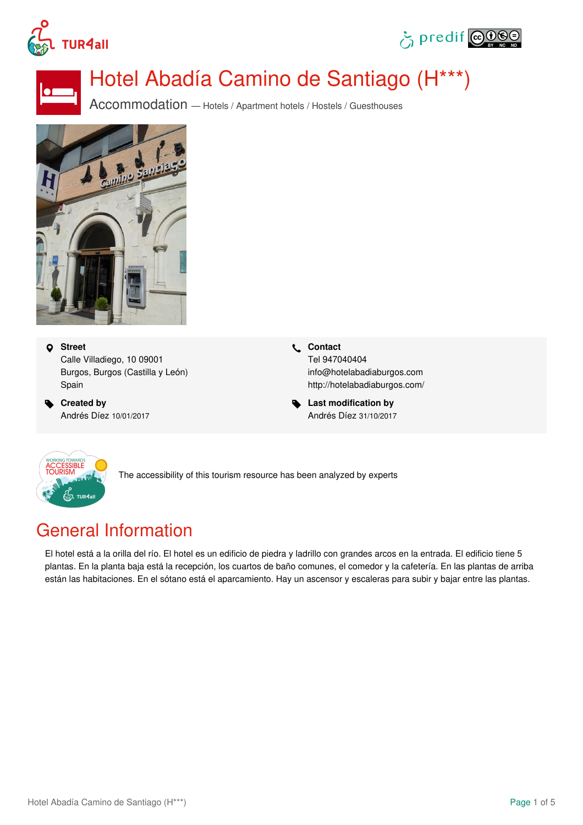





# Hotel Abadía Camino de Santiago (H\*\*\*)

Accommodation — Hotels / Apartment hotels / Hostels / Guesthouses



 **Street** Calle Villadiego, 10 09001 Burgos, Burgos (Castilla y León) Spain

 **Created by** Andrés Díez 10/01/2017  **Contact** Tel 947040404 info@hotelabadiaburgos.com <http://hotelabadiaburgos.com/>

 **Last modification by** Andrés Díez 31/10/2017



The accessibility of this tourism resource has been analyzed by experts

# General Information

El hotel está a la orilla del río. El hotel es un edificio de piedra y ladrillo con grandes arcos en la entrada. El edificio tiene 5 plantas. En la planta baja está la recepción, los cuartos de baño comunes, el comedor y la cafetería. En las plantas de arriba están las habitaciones. En el sótano está el aparcamiento. Hay un ascensor y escaleras para subir y bajar entre las plantas.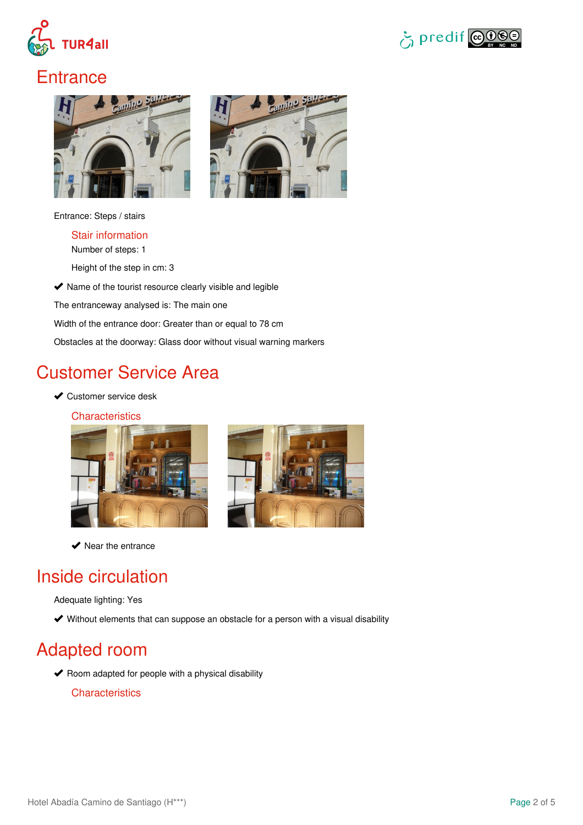



### **Entrance**



Entrance: Steps / stairs

Stair information

Number of steps: 1

Height of the step in cm: 3

 $\blacktriangleright$  Name of the tourist resource clearly visible and legible

The entranceway analysed is: The main one

Width of the entrance door: Greater than or equal to 78 cm

Obstacles at the doorway: Glass door without visual warning markers

# Customer Service Area

**◆ Customer service desk** 

**Characteristics** 





 $\blacktriangleright$  Near the entrance

### Inside circulation

Adequate lighting: Yes

Without elements that can suppose an obstacle for a person with a visual disability

# Adapted room

 $\blacktriangleright$  Room adapted for people with a physical disability

**Characteristics**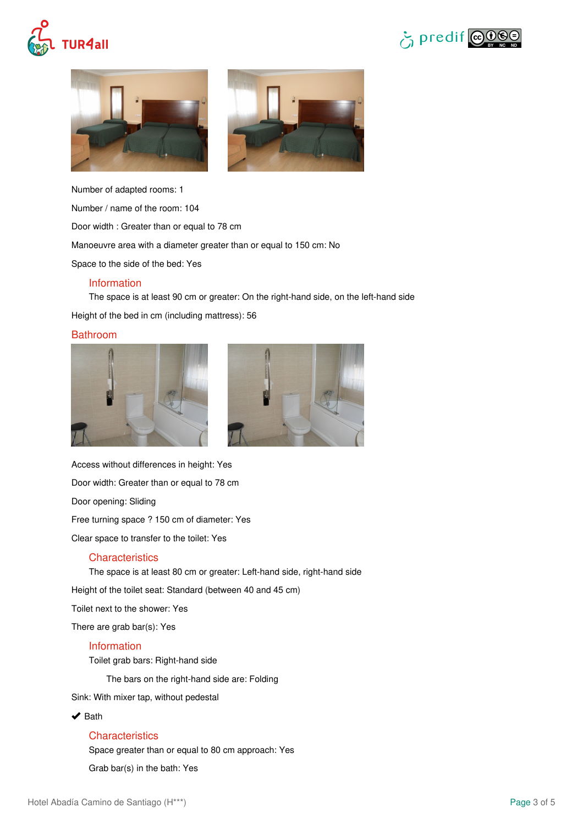







Number of adapted rooms: 1

Number / name of the room: 104

Door width : Greater than or equal to 78 cm

Manoeuvre area with a diameter greater than or equal to 150 cm: No

Space to the side of the bed: Yes

#### Information

The space is at least 90 cm or greater: On the right-hand side, on the left-hand side Height of the bed in cm (including mattress): 56

#### Bathroom





Access without differences in height: Yes

Door width: Greater than or equal to 78 cm

Door opening: Sliding

Free turning space ? 150 cm of diameter: Yes

Clear space to transfer to the toilet: Yes

#### **Characteristics**

The space is at least 80 cm or greater: Left-hand side, right-hand side

Height of the toilet seat: Standard (between 40 and 45 cm)

Toilet next to the shower: Yes

There are grab bar(s): Yes

#### Information

Toilet grab bars: Right-hand side

The bars on the right-hand side are: Folding

Sink: With mixer tap, without pedestal

#### $\blacktriangleright$  Bath

### **Characteristics**

Space greater than or equal to 80 cm approach: Yes

Grab bar(s) in the bath: Yes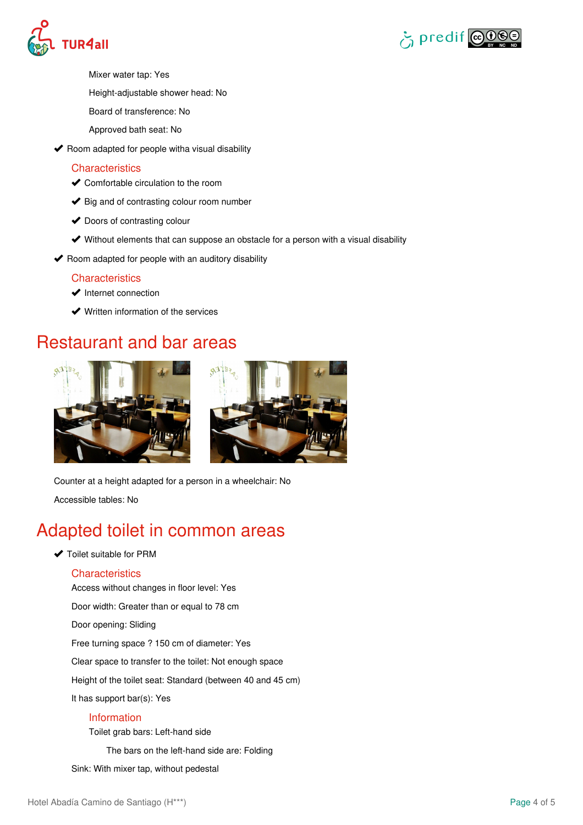



- Mixer water tap: Yes
- Height-adjustable shower head: No
- Board of transference: No
- Approved bath seat: No
- $\blacktriangleright$  Room adapted for people witha visual disability

### **Characteristics**

- ◆ Comfortable circulation to the room
- $\blacktriangleright$  Big and of contrasting colour room number
- ◆ Doors of contrasting colour
- Without elements that can suppose an obstacle for a person with a visual disability
- $\blacktriangleright$  Room adapted for people with an auditory disability

### **Characteristics**

- $\blacktriangleright$  Internet connection
- **◆** Written information of the services

### Restaurant and bar areas





Counter at a height adapted for a person in a wheelchair: No

Accessible tables: No

### Adapted toilet in common areas

◆ Toilet suitable for PRM

### **Characteristics**

Access without changes in floor level: Yes Door width: Greater than or equal to 78 cm Door opening: Sliding Free turning space ? 150 cm of diameter: Yes Clear space to transfer to the toilet: Not enough space Height of the toilet seat: Standard (between 40 and 45 cm) It has support bar(s): Yes Information

Toilet grab bars: Left-hand side

The bars on the left-hand side are: Folding

Sink: With mixer tap, without pedestal